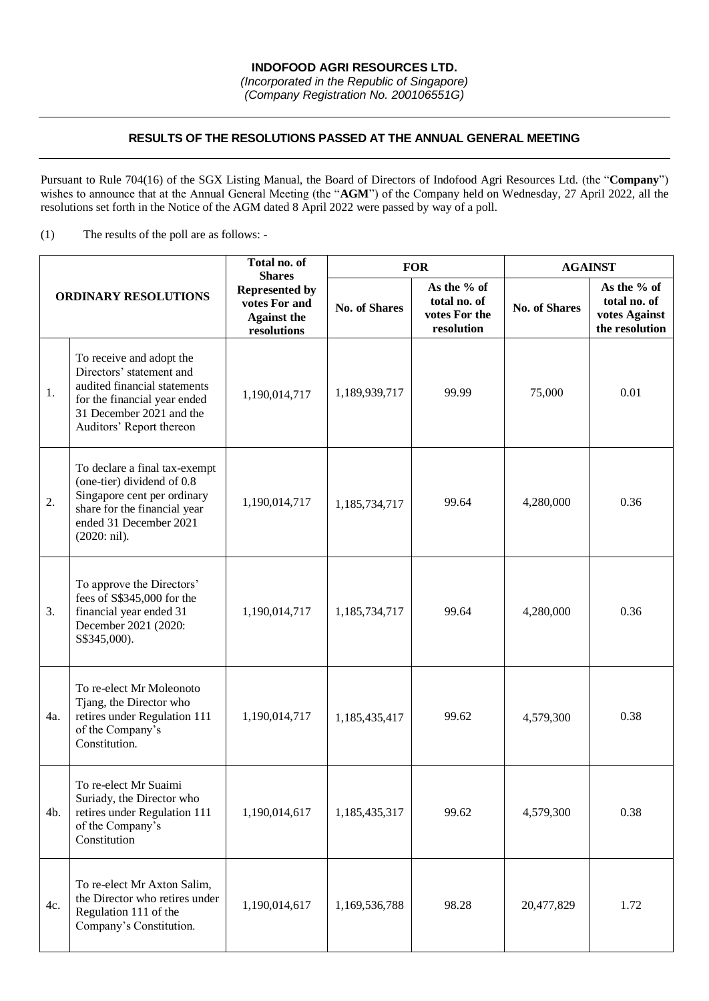## **RESULTS OF THE RESOLUTIONS PASSED AT THE ANNUAL GENERAL MEETING**

Pursuant to Rule 704(16) of the SGX Listing Manual, the Board of Directors of Indofood Agri Resources Ltd. (the "**Company**") wishes to announce that at the Annual General Meeting (the "**AGM**") of the Company held on Wednesday, 27 April 2022, all the resolutions set forth in the Notice of the AGM dated 8 April 2022 were passed by way of a poll.

(1) The results of the poll are as follows: -

| <b>ORDINARY RESOLUTIONS</b> |                                                                                                                                                                              | Total no. of<br><b>Shares</b><br><b>Represented by</b><br>votes For and<br><b>Against the</b><br>resolutions | <b>FOR</b>           |                                                            | <b>AGAINST</b>       |                                                                |
|-----------------------------|------------------------------------------------------------------------------------------------------------------------------------------------------------------------------|--------------------------------------------------------------------------------------------------------------|----------------------|------------------------------------------------------------|----------------------|----------------------------------------------------------------|
|                             |                                                                                                                                                                              |                                                                                                              | <b>No. of Shares</b> | As the % of<br>total no. of<br>votes For the<br>resolution | <b>No. of Shares</b> | As the % of<br>total no. of<br>votes Against<br>the resolution |
| 1.                          | To receive and adopt the<br>Directors' statement and<br>audited financial statements<br>for the financial year ended<br>31 December 2021 and the<br>Auditors' Report thereon | 1,190,014,717                                                                                                | 1,189,939,717        | 99.99                                                      | 75,000               | 0.01                                                           |
| 2.                          | To declare a final tax-exempt<br>(one-tier) dividend of 0.8<br>Singapore cent per ordinary<br>share for the financial year<br>ended 31 December 2021<br>(2020: nil).         | 1,190,014,717                                                                                                | 1,185,734,717        | 99.64                                                      | 4,280,000            | 0.36                                                           |
| 3.                          | To approve the Directors'<br>fees of S\$345,000 for the<br>financial year ended 31<br>December 2021 (2020:<br>S\$345,000).                                                   | 1,190,014,717                                                                                                | 1,185,734,717        | 99.64                                                      | 4,280,000            | 0.36                                                           |
| 4a.                         | To re-elect Mr Moleonoto<br>Tjang, the Director who<br>retires under Regulation 111<br>of the Company's<br>Constitution.                                                     | 1,190,014,717                                                                                                | 1,185,435,417        | 99.62                                                      | 4,579,300            | 0.38                                                           |
| 4b.                         | To re-elect Mr Suaimi<br>Suriady, the Director who<br>retires under Regulation 111<br>of the Company's<br>Constitution                                                       | 1,190,014,617                                                                                                | 1,185,435,317        | 99.62                                                      | 4,579,300            | 0.38                                                           |
| 4c.                         | To re-elect Mr Axton Salim,<br>the Director who retires under<br>Regulation 111 of the<br>Company's Constitution.                                                            | 1,190,014,617                                                                                                | 1,169,536,788        | 98.28                                                      | 20,477,829           | 1.72                                                           |